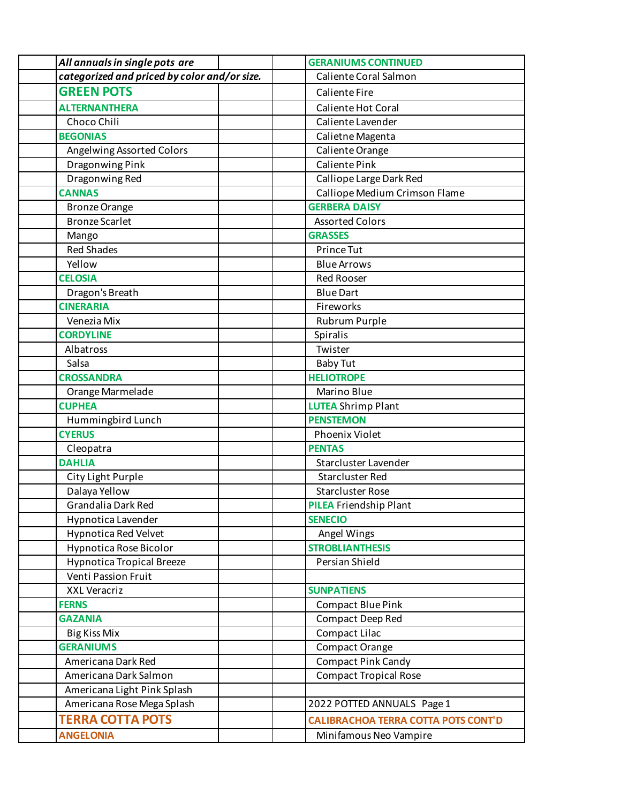| categorized and priced by color and/or size.<br>Caliente Coral Salmon |  |
|-----------------------------------------------------------------------|--|
| <b>GREEN POTS</b><br><b>Caliente Fire</b>                             |  |
| <b>ALTERNANTHERA</b><br>Caliente Hot Coral                            |  |
| Choco Chili<br>Caliente Lavender                                      |  |
| <b>BEGONIAS</b><br>Calietne Magenta                                   |  |
| Angelwing Assorted Colors<br>Caliente Orange                          |  |
| <b>Caliente Pink</b><br>Dragonwing Pink                               |  |
| Dragonwing Red<br>Calliope Large Dark Red                             |  |
| <b>CANNAS</b><br>Calliope Medium Crimson Flame                        |  |
| <b>GERBERA DAISY</b><br><b>Bronze Orange</b>                          |  |
| <b>Bronze Scarlet</b><br><b>Assorted Colors</b>                       |  |
| <b>GRASSES</b><br>Mango                                               |  |
| <b>Red Shades</b><br>Prince Tut                                       |  |
| Yellow<br><b>Blue Arrows</b>                                          |  |
| <b>CELOSIA</b><br><b>Red Rooser</b>                                   |  |
| <b>Blue Dart</b><br>Dragon's Breath                                   |  |
| <b>CINERARIA</b><br>Fireworks                                         |  |
| Rubrum Purple<br>Venezia Mix                                          |  |
| <b>CORDYLINE</b><br><b>Spiralis</b>                                   |  |
| Albatross<br>Twister                                                  |  |
| Salsa<br><b>Baby Tut</b>                                              |  |
| <b>HELIOTROPE</b><br><b>CROSSANDRA</b>                                |  |
| Orange Marmelade<br>Marino Blue                                       |  |
| <b>CUPHEA</b><br><b>LUTEA</b> Shrimp Plant                            |  |
| <b>PENSTEMON</b><br>Hummingbird Lunch                                 |  |
| <b>CYERUS</b><br>Phoenix Violet                                       |  |
| <b>PENTAS</b><br>Cleopatra                                            |  |
| <b>DAHLIA</b><br>Starcluster Lavender                                 |  |
| <b>Starcluster Red</b><br>City Light Purple                           |  |
| Dalaya Yellow<br><b>Starcluster Rose</b>                              |  |
| Grandalia Dark Red<br><b>PILEA</b> Friendship Plant                   |  |
| Hypnotica Lavender<br><b>SENECIO</b>                                  |  |
| <b>Hypnotica Red Velvet</b><br>Angel Wings                            |  |
| Hypnotica Rose Bicolor<br><b>STROBLIANTHESIS</b>                      |  |
| <b>Hypnotica Tropical Breeze</b><br>Persian Shield                    |  |
| Venti Passion Fruit                                                   |  |
| <b>XXL Veracriz</b><br><b>SUNPATIENS</b>                              |  |
| <b>FERNS</b><br><b>Compact Blue Pink</b>                              |  |
| <b>GAZANIA</b><br>Compact Deep Red                                    |  |
| Compact Lilac<br><b>Big Kiss Mix</b>                                  |  |
| <b>GERANIUMS</b><br>Compact Orange                                    |  |
| <b>Compact Pink Candy</b><br>Americana Dark Red                       |  |
| <b>Compact Tropical Rose</b><br>Americana Dark Salmon                 |  |
| Americana Light Pink Splash                                           |  |
| Americana Rose Mega Splash<br>2022 POTTED ANNUALS Page 1              |  |
| <b>TERRA COTTA POTS</b><br><b>CALIBRACHOA TERRA COTTA POTS CONT'D</b> |  |
| <b>ANGELONIA</b><br>Minifamous Neo Vampire                            |  |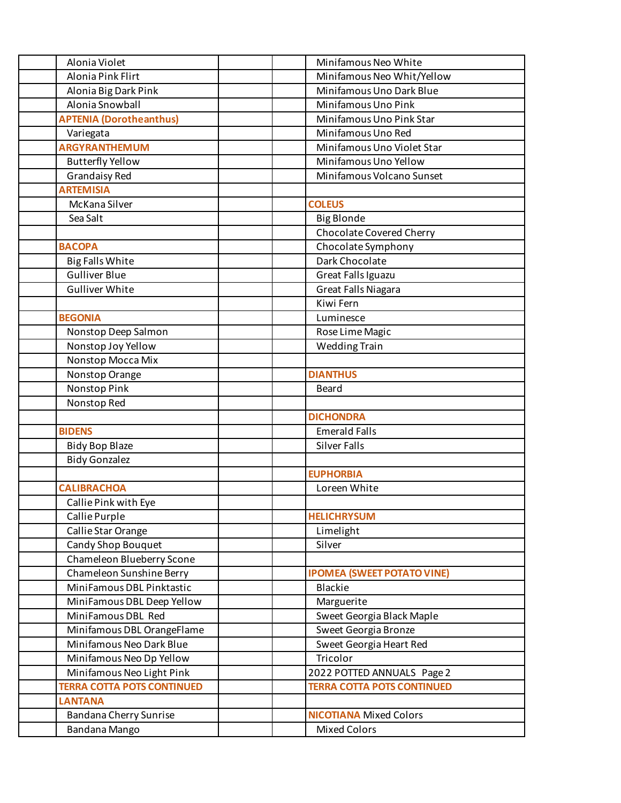| Alonia Violet                     | Minifamous Neo White              |
|-----------------------------------|-----------------------------------|
| Alonia Pink Flirt                 | Minifamous Neo Whit/Yellow        |
| Alonia Big Dark Pink              | Minifamous Uno Dark Blue          |
| Alonia Snowball                   | Minifamous Uno Pink               |
| <b>APTENIA (Dorotheanthus)</b>    | Minifamous Uno Pink Star          |
| Variegata                         | Minifamous Uno Red                |
| <b>ARGYRANTHEMUM</b>              | Minifamous Uno Violet Star        |
| <b>Butterfly Yellow</b>           | Minifamous Uno Yellow             |
| <b>Grandaisy Red</b>              | Minifamous Volcano Sunset         |
| <b>ARTEMISIA</b>                  |                                   |
| McKana Silver                     | <b>COLEUS</b>                     |
| Sea Salt                          | <b>Big Blonde</b>                 |
|                                   | Chocolate Covered Cherry          |
| <b>BACOPA</b>                     | Chocolate Symphony                |
| <b>Big Falls White</b>            | Dark Chocolate                    |
| <b>Gulliver Blue</b>              | Great Falls Iguazu                |
| <b>Gulliver White</b>             | <b>Great Falls Niagara</b>        |
|                                   | Kiwi Fern                         |
| <b>BEGONIA</b>                    | Luminesce                         |
| Nonstop Deep Salmon               | Rose Lime Magic                   |
| Nonstop Joy Yellow                | <b>Wedding Train</b>              |
| Nonstop Mocca Mix                 |                                   |
| Nonstop Orange                    | <b>DIANTHUS</b>                   |
| Nonstop Pink                      | <b>Beard</b>                      |
| Nonstop Red                       |                                   |
|                                   | <b>DICHONDRA</b>                  |
| <b>BIDENS</b>                     | <b>Emerald Falls</b>              |
| <b>Bidy Bop Blaze</b>             | <b>Silver Falls</b>               |
| <b>Bidy Gonzalez</b>              |                                   |
|                                   | <b>EUPHORBIA</b>                  |
| <b>CALIBRACHOA</b>                | Loreen White                      |
| Callie Pink with Eye              |                                   |
| Callie Purple                     | <b>HELICHRYSUM</b>                |
| Callie Star Orange                | Limelight                         |
| <b>Candy Shop Bouquet</b>         | Silver                            |
| Chameleon Blueberry Scone         |                                   |
| Chameleon Sunshine Berry          | <b>IPOMEA (SWEET POTATO VINE)</b> |
| MiniFamous DBL Pinktastic         | <b>Blackie</b>                    |
| MiniFamous DBL Deep Yellow        | Marguerite                        |
| MiniFamous DBL Red                | Sweet Georgia Black Maple         |
| Minifamous DBL OrangeFlame        | Sweet Georgia Bronze              |
| Minifamous Neo Dark Blue          | Sweet Georgia Heart Red           |
| Minifamous Neo Dp Yellow          | Tricolor                          |
| Minifamous Neo Light Pink         | 2022 POTTED ANNUALS Page 2        |
| <b>TERRA COTTA POTS CONTINUED</b> | <b>TERRA COTTA POTS CONTINUED</b> |
| <b>LANTANA</b>                    |                                   |
| Bandana Cherry Sunrise            | <b>NICOTIANA</b> Mixed Colors     |
| Bandana Mango                     | <b>Mixed Colors</b>               |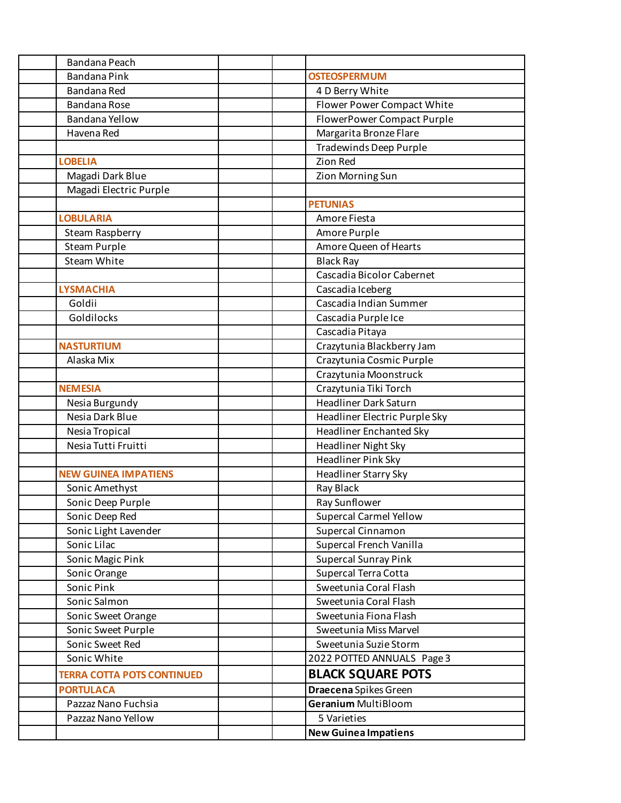| Bandana Peach                     |                                |
|-----------------------------------|--------------------------------|
| <b>Bandana Pink</b>               | <b>OSTEOSPERMUM</b>            |
| Bandana Red                       | 4 D Berry White                |
| <b>Bandana Rose</b>               | Flower Power Compact White     |
| Bandana Yellow                    | FlowerPower Compact Purple     |
| Havena Red                        | Margarita Bronze Flare         |
|                                   | <b>Tradewinds Deep Purple</b>  |
| <b>LOBELIA</b>                    | Zion Red                       |
| Magadi Dark Blue                  | Zion Morning Sun               |
| Magadi Electric Purple            |                                |
|                                   | <b>PETUNIAS</b>                |
| <b>LOBULARIA</b>                  | Amore Fiesta                   |
| Steam Raspberry                   | Amore Purple                   |
| Steam Purple                      | Amore Queen of Hearts          |
| Steam White                       | <b>Black Ray</b>               |
|                                   | Cascadia Bicolor Cabernet      |
| <b>LYSMACHIA</b>                  | Cascadia Iceberg               |
| Goldii                            | Cascadia Indian Summer         |
| Goldilocks                        | Cascadia Purple Ice            |
|                                   | Cascadia Pitaya                |
| <b>NASTURTIUM</b>                 | Crazytunia Blackberry Jam      |
| Alaska Mix                        | Crazytunia Cosmic Purple       |
|                                   | Crazytunia Moonstruck          |
| <b>NEMESIA</b>                    | Crazytunia Tiki Torch          |
| Nesia Burgundy                    | <b>Headliner Dark Saturn</b>   |
| Nesia Dark Blue                   | Headliner Electric Purple Sky  |
| Nesia Tropical                    | <b>Headliner Enchanted Sky</b> |
| Nesia Tutti Fruitti               | Headliner Night Sky            |
|                                   | <b>Headliner Pink Sky</b>      |
| <b>NEW GUINEA IMPATIENS</b>       | <b>Headliner Starry Sky</b>    |
| Sonic Amethyst                    | Ray Black                      |
| Sonic Deep Purple                 | Ray Sunflower                  |
| Sonic Deep Red                    | <b>Supercal Carmel Yellow</b>  |
| Sonic Light Lavender              | Supercal Cinnamon              |
| Sonic Lilac                       | Supercal French Vanilla        |
| Sonic Magic Pink                  | <b>Supercal Sunray Pink</b>    |
| Sonic Orange                      | Supercal Terra Cotta           |
| Sonic Pink                        | Sweetunia Coral Flash          |
| Sonic Salmon                      | Sweetunia Coral Flash          |
| Sonic Sweet Orange                | Sweetunia Fiona Flash          |
| Sonic Sweet Purple                | Sweetunia Miss Marvel          |
| Sonic Sweet Red                   | Sweetunia Suzie Storm          |
| Sonic White                       | 2022 POTTED ANNUALS Page 3     |
| <b>TERRA COTTA POTS CONTINUED</b> | <b>BLACK SQUARE POTS</b>       |
| <b>PORTULACA</b>                  | Draecena Spikes Green          |
| Pazzaz Nano Fuchsia               | <b>Geranium MultiBloom</b>     |
| Pazzaz Nano Yellow                | 5 Varieties                    |
|                                   | <b>New Guinea Impatiens</b>    |